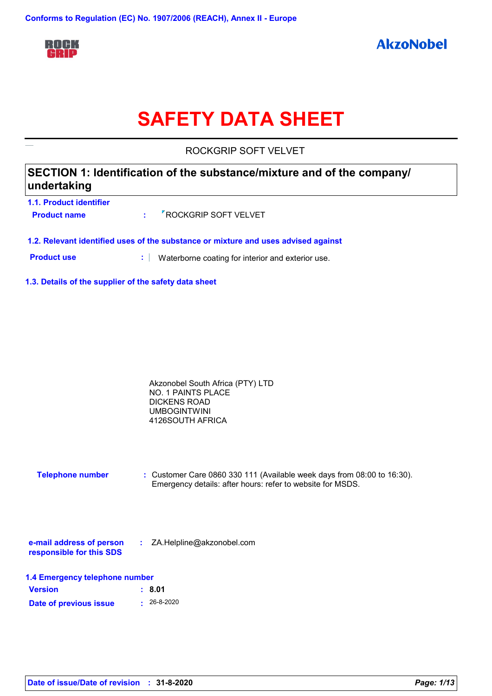

# **SAFETY DATA SHEET**

ROCKGRIP SOFT VELVET

| SECTION 1: Identification of the substance/mixture and of the company/ |  |
|------------------------------------------------------------------------|--|
| undertaking                                                            |  |

| 1.1. Product identifier |                                   |
|-------------------------|-----------------------------------|
| <b>Product name</b>     | <sup>7</sup> ROCKGRIP SOFT VELVET |

**1.2. Relevant identified uses of the substance or mixture and uses advised against**

**Product use <b>:** Waterborne coating for interior and exterior use.

**1.3. Details of the supplier of the safety data sheet**

**Telephone number :** Customer Care 0860 330 111 (Available week days from 08:00 to 16:30). Emergency details: after hours: refer to website for MSDS.

| e-mail address of person | ZA.Helpline@akzonobel.com |  |
|--------------------------|---------------------------|--|
| responsible for this SDS |                           |  |

| 1.4 Emergency telephone number |                   |  |  |  |
|--------------------------------|-------------------|--|--|--|
| <b>Version</b>                 | : 8.01            |  |  |  |
| Date of previous issue         | $\cdot$ 26-8-2020 |  |  |  |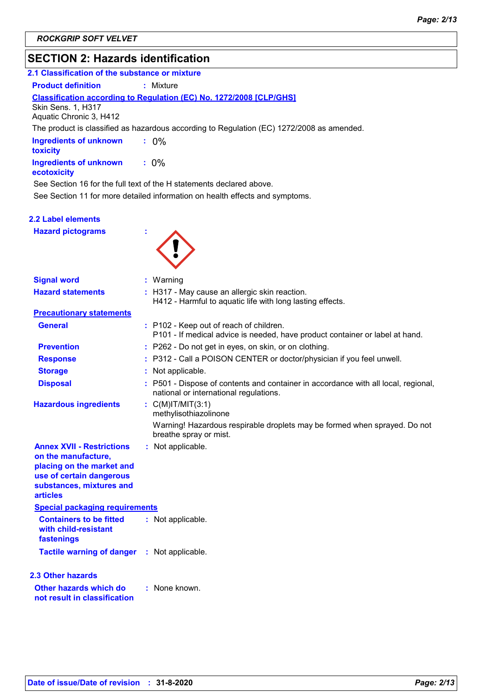# **SECTION 2: Hazards identification**

| 2.1 Classification of the substance or mixture                                                                                                                  |                                                                                                                              |
|-----------------------------------------------------------------------------------------------------------------------------------------------------------------|------------------------------------------------------------------------------------------------------------------------------|
| <b>Product definition</b>                                                                                                                                       | $:$ Mixture                                                                                                                  |
|                                                                                                                                                                 | Classification according to Regulation (EC) No. 1272/2008 [CLP/GHS]                                                          |
| Skin Sens. 1, H317<br>Aquatic Chronic 3, H412                                                                                                                   |                                                                                                                              |
|                                                                                                                                                                 | The product is classified as hazardous according to Regulation (EC) 1272/2008 as amended.                                    |
| <b>Ingredients of unknown</b><br>toxicity                                                                                                                       | $: 0\%$                                                                                                                      |
| <b>Ingredients of unknown</b><br>ecotoxicity                                                                                                                    | $: 0\%$                                                                                                                      |
|                                                                                                                                                                 | See Section 16 for the full text of the H statements declared above.                                                         |
|                                                                                                                                                                 | See Section 11 for more detailed information on health effects and symptoms.                                                 |
| 2.2 Label elements                                                                                                                                              |                                                                                                                              |
| <b>Hazard pictograms</b>                                                                                                                                        |                                                                                                                              |
| <b>Signal word</b>                                                                                                                                              | : Warning                                                                                                                    |
| <b>Hazard statements</b>                                                                                                                                        | : H317 - May cause an allergic skin reaction.<br>H412 - Harmful to aquatic life with long lasting effects.                   |
| <b>Precautionary statements</b>                                                                                                                                 |                                                                                                                              |
| <b>General</b>                                                                                                                                                  | : P102 - Keep out of reach of children.<br>P101 - If medical advice is needed, have product container or label at hand.      |
| <b>Prevention</b>                                                                                                                                               | : P262 - Do not get in eyes, on skin, or on clothing.                                                                        |
| <b>Response</b>                                                                                                                                                 | : P312 - Call a POISON CENTER or doctor/physician if you feel unwell.                                                        |
| <b>Storage</b>                                                                                                                                                  | : Not applicable.                                                                                                            |
| <b>Disposal</b>                                                                                                                                                 | : P501 - Dispose of contents and container in accordance with all local, regional,<br>national or international regulations. |
| <b>Hazardous ingredients</b>                                                                                                                                    | : $C(M)$ IT/MIT(3:1)<br>methylisothiazolinone                                                                                |
|                                                                                                                                                                 | Warning! Hazardous respirable droplets may be formed when sprayed. Do not<br>breathe spray or mist.                          |
| <b>Annex XVII - Restrictions</b><br>on the manufacture,<br>placing on the market and<br>use of certain dangerous<br>substances, mixtures and<br><b>articles</b> | : Not applicable.                                                                                                            |
| <b>Special packaging requirements</b>                                                                                                                           |                                                                                                                              |
| <b>Containers to be fitted</b><br>with child-resistant<br>fastenings                                                                                            | : Not applicable.                                                                                                            |
| <b>Tactile warning of danger</b>                                                                                                                                | : Not applicable.                                                                                                            |
| <b>2.3 Other hazards</b>                                                                                                                                        |                                                                                                                              |
| Other hazards which do<br>not result in classification                                                                                                          | : None known.                                                                                                                |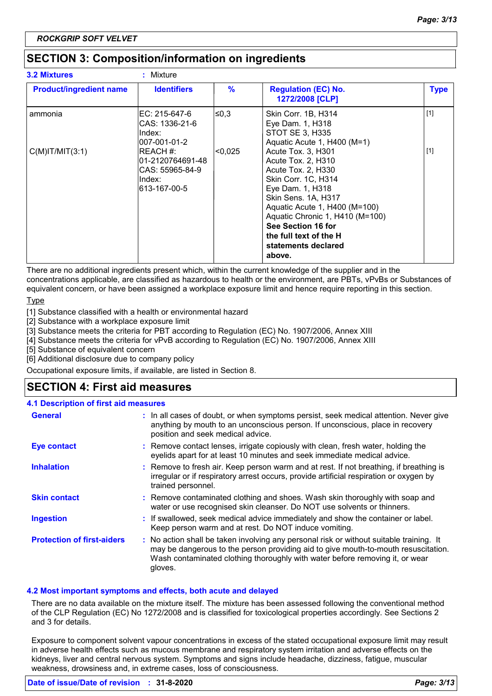# **SECTION 3: Composition/information on ingredients**

| <b>3.2 Mixtures</b>              | : Mixture                                                                                                                                    |                  |                                                                                                                                                                                                                                                                                                                                                   |                |
|----------------------------------|----------------------------------------------------------------------------------------------------------------------------------------------|------------------|---------------------------------------------------------------------------------------------------------------------------------------------------------------------------------------------------------------------------------------------------------------------------------------------------------------------------------------------------|----------------|
| <b>Product/ingredient name</b>   | <b>Identifiers</b>                                                                                                                           | $\frac{9}{6}$    | <b>Regulation (EC) No.</b><br>1272/2008 [CLP]                                                                                                                                                                                                                                                                                                     | <b>Type</b>    |
| ammonia<br>$C(M)$ IT/MIT $(3:1)$ | IEC: 215-647-6<br>ICAS: 1336-21-6<br>Index:<br>007-001-01-2<br>IREACH #:<br>l01-2120764691-48<br>ICAS: 55965-84-9<br>lIndex:<br>613-167-00-5 | l≤0,3<br>< 0.025 | Skin Corr. 1B, H314<br>Eye Dam. 1, H318<br>STOT SE 3, H335<br>Aquatic Acute 1, H400 (M=1)<br>Acute Tox. 3, H301<br>Acute Tox. 2, H310<br>Acute Tox. 2, H330<br>Skin Corr. 1C, H314<br>Eye Dam. 1, H318<br>Skin Sens. 1A, H317<br>Aquatic Acute 1, H400 (M=100)<br>Aquatic Chronic 1, H410 (M=100)<br>See Section 16 for<br>the full text of the H | $[1]$<br>$[1]$ |
|                                  |                                                                                                                                              |                  | statements declared<br>above.                                                                                                                                                                                                                                                                                                                     |                |

There are no additional ingredients present which, within the current knowledge of the supplier and in the concentrations applicable, are classified as hazardous to health or the environment, are PBTs, vPvBs or Substances of equivalent concern, or have been assigned a workplace exposure limit and hence require reporting in this section.

**Type** 

[1] Substance classified with a health or environmental hazard

[2] Substance with a workplace exposure limit

[3] Substance meets the criteria for PBT according to Regulation (EC) No. 1907/2006, Annex XIII

[4] Substance meets the criteria for vPvB according to Regulation (EC) No. 1907/2006, Annex XIII

[5] Substance of equivalent concern

[6] Additional disclosure due to company policy

Occupational exposure limits, if available, are listed in Section 8.

### **SECTION 4: First aid measures**

#### **4.1 Description of first aid measures**

| <b>General</b>                    | : In all cases of doubt, or when symptoms persist, seek medical attention. Never give<br>anything by mouth to an unconscious person. If unconscious, place in recovery<br>position and seek medical advice.                                                              |
|-----------------------------------|--------------------------------------------------------------------------------------------------------------------------------------------------------------------------------------------------------------------------------------------------------------------------|
| <b>Eye contact</b>                | : Remove contact lenses, irrigate copiously with clean, fresh water, holding the<br>eyelids apart for at least 10 minutes and seek immediate medical advice.                                                                                                             |
| <b>Inhalation</b>                 | : Remove to fresh air. Keep person warm and at rest. If not breathing, if breathing is<br>irregular or if respiratory arrest occurs, provide artificial respiration or oxygen by<br>trained personnel.                                                                   |
| <b>Skin contact</b>               | : Remove contaminated clothing and shoes. Wash skin thoroughly with soap and<br>water or use recognised skin cleanser. Do NOT use solvents or thinners.                                                                                                                  |
| <b>Ingestion</b>                  | : If swallowed, seek medical advice immediately and show the container or label.<br>Keep person warm and at rest. Do NOT induce vomiting.                                                                                                                                |
| <b>Protection of first-aiders</b> | : No action shall be taken involving any personal risk or without suitable training. It<br>may be dangerous to the person providing aid to give mouth-to-mouth resuscitation.<br>Wash contaminated clothing thoroughly with water before removing it, or wear<br>gloves. |

#### **4.2 Most important symptoms and effects, both acute and delayed**

There are no data available on the mixture itself. The mixture has been assessed following the conventional method of the CLP Regulation (EC) No 1272/2008 and is classified for toxicological properties accordingly. See Sections 2 and 3 for details.

Exposure to component solvent vapour concentrations in excess of the stated occupational exposure limit may result in adverse health effects such as mucous membrane and respiratory system irritation and adverse effects on the kidneys, liver and central nervous system. Symptoms and signs include headache, dizziness, fatigue, muscular weakness, drowsiness and, in extreme cases, loss of consciousness.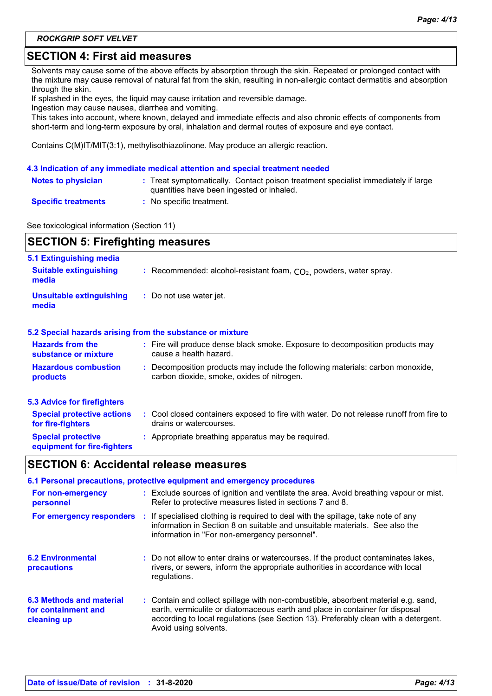*ROCKGRIP SOFT VELVET*

## **SECTION 4: First aid measures**

Solvents may cause some of the above effects by absorption through the skin. Repeated or prolonged contact with the mixture may cause removal of natural fat from the skin, resulting in non-allergic contact dermatitis and absorption through the skin.

If splashed in the eyes, the liquid may cause irritation and reversible damage.

Ingestion may cause nausea, diarrhea and vomiting.

This takes into account, where known, delayed and immediate effects and also chronic effects of components from short-term and long-term exposure by oral, inhalation and dermal routes of exposure and eye contact.

Contains C(M)IT/MIT(3:1), methylisothiazolinone. May produce an allergic reaction.

#### **4.3 Indication of any immediate medical attention and special treatment needed**

| <b>Notes to physician</b>  | Treat symptomatically. Contact poison treatment specialist immediately if large |
|----------------------------|---------------------------------------------------------------------------------|
|                            | quantities have been ingested or inhaled.                                       |
| <b>Specific treatments</b> | No specific treatment.                                                          |

See toxicological information (Section 11)

| <b>SECTION 5: Firefighting measures</b>                                  |                                                                                                                              |  |  |
|--------------------------------------------------------------------------|------------------------------------------------------------------------------------------------------------------------------|--|--|
| <b>5.1 Extinguishing media</b><br><b>Suitable extinguishing</b><br>media | : Recommended: alcohol-resistant foam, $CO2$ , powders, water spray.                                                         |  |  |
| Unsuitable extinguishing<br>media                                        | : Do not use water jet.                                                                                                      |  |  |
|                                                                          | 5.2 Special hazards arising from the substance or mixture                                                                    |  |  |
| <b>Hazards from the</b><br>substance or mixture                          | : Fire will produce dense black smoke. Exposure to decomposition products may<br>cause a health hazard.                      |  |  |
| <b>Hazardous combustion</b><br>products                                  | : Decomposition products may include the following materials: carbon monoxide,<br>carbon dioxide, smoke, oxides of nitrogen. |  |  |
| 5.3 Advice for firefighters                                              |                                                                                                                              |  |  |
| <b>Special protective actions</b><br>for fire-fighters                   | : Cool closed containers exposed to fire with water. Do not release runoff from fire to<br>drains or watercourses.           |  |  |
| <b>Special protective</b><br>equipment for fire-fighters                 | : Appropriate breathing apparatus may be required.                                                                           |  |  |

# **SECTION 6: Accidental release measures**

|                                                                | 6.1 Personal precautions, protective equipment and emergency procedures                                                                                                                                                                                                            |
|----------------------------------------------------------------|------------------------------------------------------------------------------------------------------------------------------------------------------------------------------------------------------------------------------------------------------------------------------------|
| For non-emergency<br>personnel                                 | : Exclude sources of ignition and ventilate the area. Avoid breathing vapour or mist.<br>Refer to protective measures listed in sections 7 and 8.                                                                                                                                  |
| For emergency responders                                       | : If specialised clothing is required to deal with the spillage, take note of any<br>information in Section 8 on suitable and unsuitable materials. See also the<br>information in "For non-emergency personnel".                                                                  |
| <b>6.2 Environmental</b><br><b>precautions</b>                 | : Do not allow to enter drains or watercourses. If the product contaminates lakes,<br>rivers, or sewers, inform the appropriate authorities in accordance with local<br>regulations.                                                                                               |
| 6.3 Methods and material<br>for containment and<br>cleaning up | : Contain and collect spillage with non-combustible, absorbent material e.g. sand,<br>earth, vermiculite or diatomaceous earth and place in container for disposal<br>according to local regulations (see Section 13). Preferably clean with a detergent.<br>Avoid using solvents. |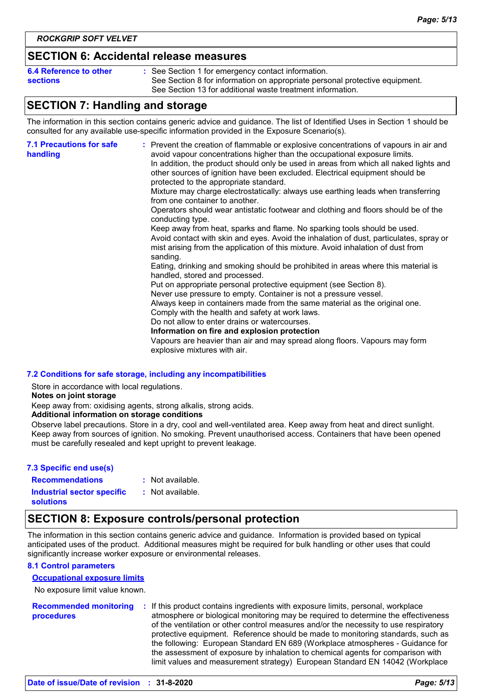# **SECTION 6: Accidental release measures**

| 6.4 Reference to other<br>sections | : See Section 1 for emergency contact information.<br>See Section 8 for information on appropriate personal protective equipment.<br>See Section 13 for additional waste treatment information. |
|------------------------------------|-------------------------------------------------------------------------------------------------------------------------------------------------------------------------------------------------|
|------------------------------------|-------------------------------------------------------------------------------------------------------------------------------------------------------------------------------------------------|

# **SECTION 7: Handling and storage**

The information in this section contains generic advice and guidance. The list of Identified Uses in Section 1 should be consulted for any available use-specific information provided in the Exposure Scenario(s).

| <b>7.1 Precautions for safe</b><br>handling | : Prevent the creation of flammable or explosive concentrations of vapours in air and<br>avoid vapour concentrations higher than the occupational exposure limits.<br>In addition, the product should only be used in areas from which all naked lights and<br>other sources of ignition have been excluded. Electrical equipment should be<br>protected to the appropriate standard.<br>Mixture may charge electrostatically: always use earthing leads when transferring<br>from one container to another.<br>Operators should wear antistatic footwear and clothing and floors should be of the<br>conducting type.<br>Keep away from heat, sparks and flame. No sparking tools should be used.<br>Avoid contact with skin and eyes. Avoid the inhalation of dust, particulates, spray or<br>mist arising from the application of this mixture. Avoid inhalation of dust from<br>sanding.<br>Eating, drinking and smoking should be prohibited in areas where this material is<br>handled, stored and processed.<br>Put on appropriate personal protective equipment (see Section 8).<br>Never use pressure to empty. Container is not a pressure vessel.<br>Always keep in containers made from the same material as the original one.<br>Comply with the health and safety at work laws.<br>Do not allow to enter drains or watercourses.<br>Information on fire and explosion protection<br>Vapours are heavier than air and may spread along floors. Vapours may form<br>explosive mixtures with air. |
|---------------------------------------------|--------------------------------------------------------------------------------------------------------------------------------------------------------------------------------------------------------------------------------------------------------------------------------------------------------------------------------------------------------------------------------------------------------------------------------------------------------------------------------------------------------------------------------------------------------------------------------------------------------------------------------------------------------------------------------------------------------------------------------------------------------------------------------------------------------------------------------------------------------------------------------------------------------------------------------------------------------------------------------------------------------------------------------------------------------------------------------------------------------------------------------------------------------------------------------------------------------------------------------------------------------------------------------------------------------------------------------------------------------------------------------------------------------------------------------------------------------------------------------------------------------------|
|---------------------------------------------|--------------------------------------------------------------------------------------------------------------------------------------------------------------------------------------------------------------------------------------------------------------------------------------------------------------------------------------------------------------------------------------------------------------------------------------------------------------------------------------------------------------------------------------------------------------------------------------------------------------------------------------------------------------------------------------------------------------------------------------------------------------------------------------------------------------------------------------------------------------------------------------------------------------------------------------------------------------------------------------------------------------------------------------------------------------------------------------------------------------------------------------------------------------------------------------------------------------------------------------------------------------------------------------------------------------------------------------------------------------------------------------------------------------------------------------------------------------------------------------------------------------|

#### **7.2 Conditions for safe storage, including any incompatibilities**

Store in accordance with local regulations.

#### **Notes on joint storage**

Keep away from: oxidising agents, strong alkalis, strong acids.

#### **Additional information on storage conditions**

Observe label precautions. Store in a dry, cool and well-ventilated area. Keep away from heat and direct sunlight. Keep away from sources of ignition. No smoking. Prevent unauthorised access. Containers that have been opened must be carefully resealed and kept upright to prevent leakage.

#### **7.3 Specific end use(s)**

**Recommendations :**

- : Not available.
- **Industrial sector specific : solutions** : Not available.

# **SECTION 8: Exposure controls/personal protection**

The information in this section contains generic advice and guidance. Information is provided based on typical anticipated uses of the product. Additional measures might be required for bulk handling or other uses that could significantly increase worker exposure or environmental releases.

#### **8.1 Control parameters**

#### **Occupational exposure limits**

No exposure limit value known.

|            | <b>Recommended monitoring : If this product contains ingredients with exposure limits, personal, workplace</b> |
|------------|----------------------------------------------------------------------------------------------------------------|
| procedures | atmosphere or biological monitoring may be required to determine the effectiveness                             |
|            | of the ventilation or other control measures and/or the necessity to use respiratory                           |
|            | protective equipment. Reference should be made to monitoring standards, such as                                |
|            | the following: European Standard EN 689 (Workplace atmospheres - Guidance for                                  |
|            | the assessment of exposure by inhalation to chemical agents for comparison with                                |
|            | limit values and measurement strategy) European Standard EN 14042 (Workplace                                   |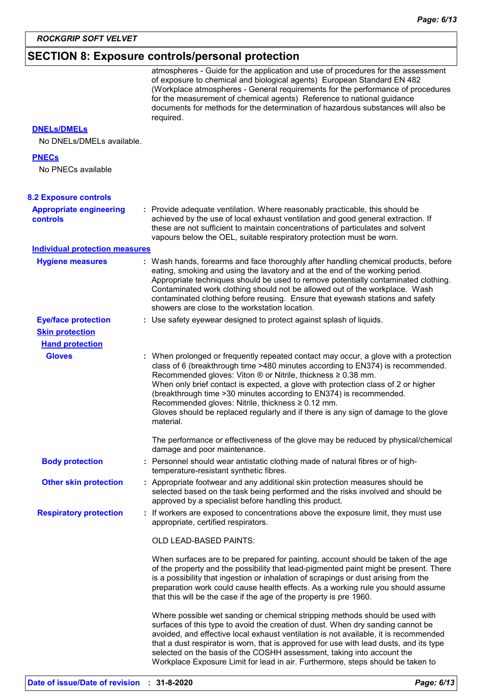# **SECTION 8: Exposure controls/personal protection**

|                                                   | atmospheres - Guide for the application and use of procedures for the assessment<br>of exposure to chemical and biological agents) European Standard EN 482<br>(Workplace atmospheres - General requirements for the performance of procedures<br>for the measurement of chemical agents) Reference to national guidance<br>documents for methods for the determination of hazardous substances will also be<br>required.                                                                                                                                   |
|---------------------------------------------------|-------------------------------------------------------------------------------------------------------------------------------------------------------------------------------------------------------------------------------------------------------------------------------------------------------------------------------------------------------------------------------------------------------------------------------------------------------------------------------------------------------------------------------------------------------------|
| <b>DNELS/DMELS</b><br>No DNELs/DMELs available.   |                                                                                                                                                                                                                                                                                                                                                                                                                                                                                                                                                             |
| <b>PNECs</b>                                      |                                                                                                                                                                                                                                                                                                                                                                                                                                                                                                                                                             |
| No PNECs available                                |                                                                                                                                                                                                                                                                                                                                                                                                                                                                                                                                                             |
| <b>8.2 Exposure controls</b>                      |                                                                                                                                                                                                                                                                                                                                                                                                                                                                                                                                                             |
| <b>Appropriate engineering</b><br><b>controls</b> | : Provide adequate ventilation. Where reasonably practicable, this should be<br>achieved by the use of local exhaust ventilation and good general extraction. If<br>these are not sufficient to maintain concentrations of particulates and solvent<br>vapours below the OEL, suitable respiratory protection must be worn.                                                                                                                                                                                                                                 |
| <b>Individual protection measures</b>             |                                                                                                                                                                                                                                                                                                                                                                                                                                                                                                                                                             |
| <b>Hygiene measures</b>                           | : Wash hands, forearms and face thoroughly after handling chemical products, before<br>eating, smoking and using the lavatory and at the end of the working period.<br>Appropriate techniques should be used to remove potentially contaminated clothing.<br>Contaminated work clothing should not be allowed out of the workplace. Wash<br>contaminated clothing before reusing. Ensure that eyewash stations and safety<br>showers are close to the workstation location.                                                                                 |
| <b>Eye/face protection</b>                        | : Use safety eyewear designed to protect against splash of liquids.                                                                                                                                                                                                                                                                                                                                                                                                                                                                                         |
| <b>Skin protection</b>                            |                                                                                                                                                                                                                                                                                                                                                                                                                                                                                                                                                             |
| <b>Hand protection</b>                            |                                                                                                                                                                                                                                                                                                                                                                                                                                                                                                                                                             |
| <b>Gloves</b>                                     | : When prolonged or frequently repeated contact may occur, a glove with a protection<br>class of 6 (breakthrough time >480 minutes according to EN374) is recommended.<br>Recommended gloves: Viton ® or Nitrile, thickness ≥ 0.38 mm.<br>When only brief contact is expected, a glove with protection class of 2 or higher<br>(breakthrough time > 30 minutes according to EN374) is recommended.<br>Recommended gloves: Nitrile, thickness ≥ 0.12 mm.<br>Gloves should be replaced regularly and if there is any sign of damage to the glove<br>material. |
|                                                   | The performance or effectiveness of the glove may be reduced by physical/chemical<br>damage and poor maintenance.                                                                                                                                                                                                                                                                                                                                                                                                                                           |
| <b>Body protection</b>                            | : Personnel should wear antistatic clothing made of natural fibres or of high-<br>temperature-resistant synthetic fibres.                                                                                                                                                                                                                                                                                                                                                                                                                                   |
| <b>Other skin protection</b>                      | : Appropriate footwear and any additional skin protection measures should be<br>selected based on the task being performed and the risks involved and should be<br>approved by a specialist before handling this product.                                                                                                                                                                                                                                                                                                                                   |
| <b>Respiratory protection</b>                     | : If workers are exposed to concentrations above the exposure limit, they must use<br>appropriate, certified respirators.                                                                                                                                                                                                                                                                                                                                                                                                                                   |
|                                                   | OLD LEAD-BASED PAINTS:                                                                                                                                                                                                                                                                                                                                                                                                                                                                                                                                      |
|                                                   | When surfaces are to be prepared for painting, account should be taken of the age<br>of the property and the possibility that lead-pigmented paint might be present. There<br>is a possibility that ingestion or inhalation of scrapings or dust arising from the<br>preparation work could cause health effects. As a working rule you should assume<br>that this will be the case if the age of the property is pre 1960.                                                                                                                                 |
|                                                   | Where possible wet sanding or chemical stripping methods should be used with<br>surfaces of this type to avoid the creation of dust. When dry sanding cannot be<br>avoided, and effective local exhaust ventilation is not available, it is recommended<br>that a dust respirator is worn, that is approved for use with lead dusts, and its type<br>selected on the basis of the COSHH assessment, taking into account the<br>Workplace Exposure Limit for lead in air. Furthermore, steps should be taken to                                              |
|                                                   |                                                                                                                                                                                                                                                                                                                                                                                                                                                                                                                                                             |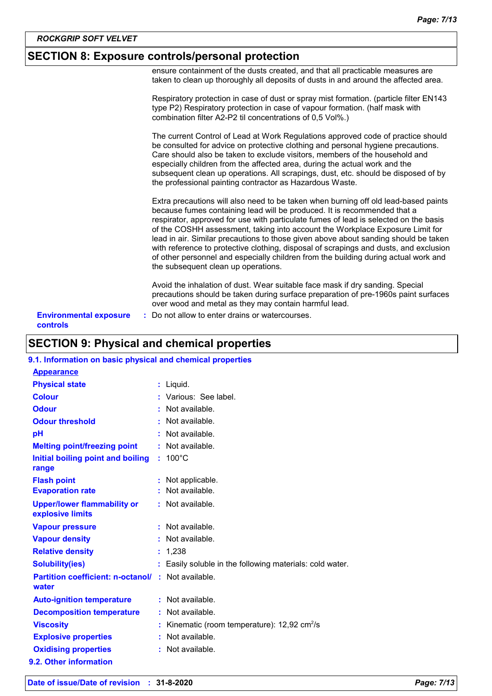# **SECTION 8: Exposure controls/personal protection**

|                               | ensure containment of the dusts created, and that all practicable measures are<br>taken to clean up thoroughly all deposits of dusts in and around the affected area.                                                                                                                                                                                                                                                                                                                                                                                                                                                                                  |
|-------------------------------|--------------------------------------------------------------------------------------------------------------------------------------------------------------------------------------------------------------------------------------------------------------------------------------------------------------------------------------------------------------------------------------------------------------------------------------------------------------------------------------------------------------------------------------------------------------------------------------------------------------------------------------------------------|
|                               | Respiratory protection in case of dust or spray mist formation. (particle filter EN143<br>type P2) Respiratory protection in case of vapour formation. (half mask with<br>combination filter A2-P2 til concentrations of 0,5 Vol%.)                                                                                                                                                                                                                                                                                                                                                                                                                    |
|                               | The current Control of Lead at Work Regulations approved code of practice should<br>be consulted for advice on protective clothing and personal hygiene precautions.<br>Care should also be taken to exclude visitors, members of the household and<br>especially children from the affected area, during the actual work and the<br>subsequent clean up operations. All scrapings, dust, etc. should be disposed of by<br>the professional painting contractor as Hazardous Waste.                                                                                                                                                                    |
|                               | Extra precautions will also need to be taken when burning off old lead-based paints<br>because fumes containing lead will be produced. It is recommended that a<br>respirator, approved for use with particulate fumes of lead is selected on the basis<br>of the COSHH assessment, taking into account the Workplace Exposure Limit for<br>lead in air. Similar precautions to those given above about sanding should be taken<br>with reference to protective clothing, disposal of scrapings and dusts, and exclusion<br>of other personnel and especially children from the building during actual work and<br>the subsequent clean up operations. |
|                               | Avoid the inhalation of dust. Wear suitable face mask if dry sanding. Special<br>precautions should be taken during surface preparation of pre-1960s paint surfaces<br>over wood and metal as they may contain harmful lead.                                                                                                                                                                                                                                                                                                                                                                                                                           |
| <b>Environmental exposure</b> | : Do not allow to enter drains or watercourses.                                                                                                                                                                                                                                                                                                                                                                                                                                                                                                                                                                                                        |

**controls**

# **SECTION 9: Physical and chemical properties**

| 9.1. Information on basic physical and chemical properties |                                                            |
|------------------------------------------------------------|------------------------------------------------------------|
| <b>Appearance</b>                                          |                                                            |
| <b>Physical state</b>                                      | : Liquid.                                                  |
| <b>Colour</b>                                              | : Various: See label.                                      |
| <b>Odour</b>                                               | : Not available.                                           |
| <b>Odour threshold</b>                                     | : Not available.                                           |
| pH                                                         | Not available.                                             |
| <b>Melting point/freezing point</b>                        | : Not available.                                           |
| Initial boiling point and boiling<br>range                 | $: 100^{\circ}$ C                                          |
| <b>Flash point</b>                                         | Not applicable.                                            |
| <b>Evaporation rate</b>                                    | Not available.                                             |
| <b>Upper/lower flammability or</b><br>explosive limits     | : Not available.                                           |
| <b>Vapour pressure</b>                                     | : Not available.                                           |
| <b>Vapour density</b>                                      | : Not available.                                           |
| <b>Relative density</b>                                    | : 1,238                                                    |
| <b>Solubility(ies)</b>                                     | : Easily soluble in the following materials: cold water.   |
| <b>Partition coefficient: n-octanol/</b><br>water          | : Not available.                                           |
| <b>Auto-ignition temperature</b>                           | : Not available.                                           |
| <b>Decomposition temperature</b>                           | : Not available.                                           |
| <b>Viscosity</b>                                           | : Kinematic (room temperature): $12,92$ cm <sup>2</sup> /s |
| <b>Explosive properties</b>                                | : Not available.                                           |
| <b>Oxidising properties</b>                                | : Not available.                                           |
| 9.2. Other information                                     |                                                            |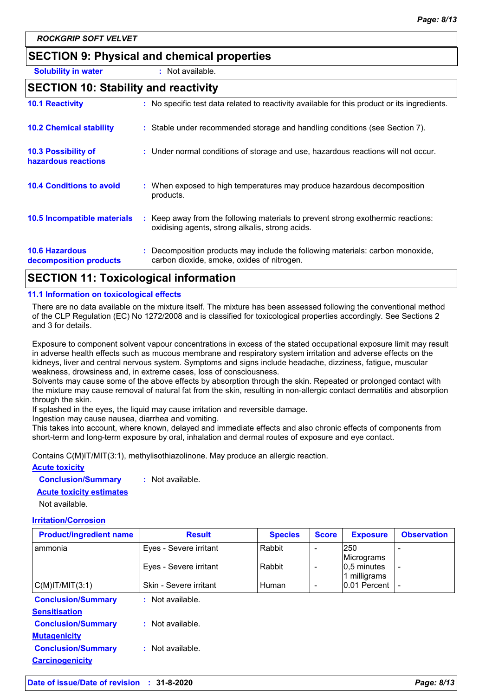# **SECTION 9: Physical and chemical properties**

**Solubility in water :** Not available.

#### **SECTION 10: Stability and reactivity**

| <b>10.1 Reactivity</b>                            | : No specific test data related to reactivity available for this product or its ingredients.                                        |
|---------------------------------------------------|-------------------------------------------------------------------------------------------------------------------------------------|
| <b>10.2 Chemical stability</b>                    | : Stable under recommended storage and handling conditions (see Section 7).                                                         |
| <b>10.3 Possibility of</b><br>hazardous reactions | : Under normal conditions of storage and use, hazardous reactions will not occur.                                                   |
| <b>10.4 Conditions to avoid</b>                   | : When exposed to high temperatures may produce hazardous decomposition<br>products.                                                |
| 10.5 Incompatible materials                       | : Keep away from the following materials to prevent strong exothermic reactions:<br>oxidising agents, strong alkalis, strong acids. |
| <b>10.6 Hazardous</b><br>decomposition products   | : Decomposition products may include the following materials: carbon monoxide,<br>carbon dioxide, smoke, oxides of nitrogen.        |

# **SECTION 11: Toxicological information**

#### **11.1 Information on toxicological effects**

There are no data available on the mixture itself. The mixture has been assessed following the conventional method of the CLP Regulation (EC) No 1272/2008 and is classified for toxicological properties accordingly. See Sections 2 and 3 for details.

Exposure to component solvent vapour concentrations in excess of the stated occupational exposure limit may result in adverse health effects such as mucous membrane and respiratory system irritation and adverse effects on the kidneys, liver and central nervous system. Symptoms and signs include headache, dizziness, fatigue, muscular weakness, drowsiness and, in extreme cases, loss of consciousness.

Solvents may cause some of the above effects by absorption through the skin. Repeated or prolonged contact with the mixture may cause removal of natural fat from the skin, resulting in non-allergic contact dermatitis and absorption through the skin.

If splashed in the eyes, the liquid may cause irritation and reversible damage.

Ingestion may cause nausea, diarrhea and vomiting.

This takes into account, where known, delayed and immediate effects and also chronic effects of components from short-term and long-term exposure by oral, inhalation and dermal routes of exposure and eye contact.

Contains C(M)IT/MIT(3:1), methylisothiazolinone. May produce an allergic reaction.

#### **Acute toxicity**

**Conclusion/Summary :** Not available.

#### **Acute toxicity estimates**

Not available.

#### **Irritation/Corrosion**

| <b>Product/ingredient name</b> | <b>Result</b>          | <b>Species</b> | <b>Score</b>             | <b>Exposure</b>                            | <b>Observation</b> |
|--------------------------------|------------------------|----------------|--------------------------|--------------------------------------------|--------------------|
| lammonia                       | Eyes - Severe irritant | Rabbit         | -                        | 250                                        |                    |
|                                | Eyes - Severe irritant | Rabbit         | ۰                        | Micrograms<br>$ 0,5$ minutes<br>milligrams |                    |
| $C(M)$ IT/MIT $(3:1)$          | Skin - Severe irritant | Human          | $\overline{\phantom{0}}$ | 0.01 Percent                               |                    |
| <b>Conclusion/Summary</b>      | : Not available.       |                |                          |                                            |                    |
| <b>Sensitisation</b>           |                        |                |                          |                                            |                    |
| <b>Conclusion/Summary</b>      | : Not available.       |                |                          |                                            |                    |
| <b>Mutagenicity</b>            |                        |                |                          |                                            |                    |
| <b>Conclusion/Summary</b>      | : Not available.       |                |                          |                                            |                    |
| <b>Carcinogenicity</b>         |                        |                |                          |                                            |                    |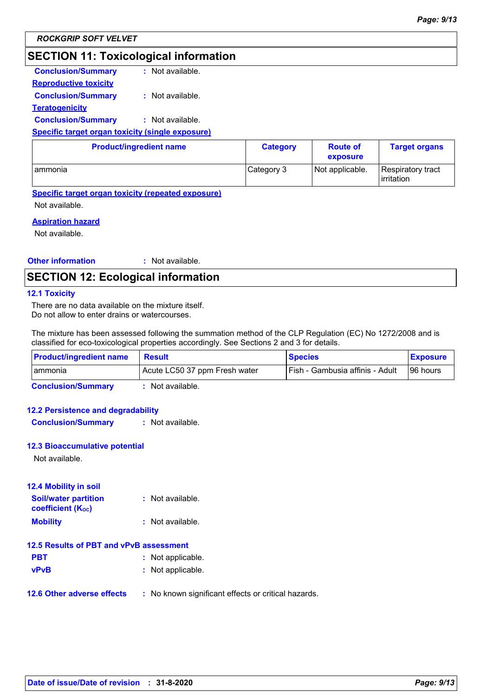#### *ROCKGRIP SOFT VELVET*

# **SECTION 11: Toxicological information**

| <b>Conclusion/Summary</b> | : Not available. |
|---------------------------|------------------|
|---------------------------|------------------|

**Reproductive toxicity**

**Conclusion/Summary :** Not available.

**Teratogenicity**

**Conclusion/Summary :** Not available.

#### **Specific target organ toxicity (single exposure)**

| <b>Product/ingredient name</b> | <b>Category</b> | <b>Route of</b><br>exposure | <b>Target organs</b>              |
|--------------------------------|-----------------|-----------------------------|-----------------------------------|
| I ammonia                      | Category 3      | Not applicable.             | Respiratory tract<br>l irritation |

#### **Specific target organ toxicity (repeated exposure)**

Not available.

#### **Aspiration hazard**

Not available.

**Other information :** : Not available.

# **SECTION 12: Ecological information**

#### **12.1 Toxicity**

There are no data available on the mixture itself. Do not allow to enter drains or watercourses.

The mixture has been assessed following the summation method of the CLP Regulation (EC) No 1272/2008 and is classified for eco-toxicological properties accordingly. See Sections 2 and 3 for details.

| I Fish - Gambusia affinis - Adult<br>Acute LC50 37 ppm Fresh water<br><b>Tammonia</b> | <b>Product/ingredient name</b><br><b>Result</b> | <b>Species</b> | <b>Exposure</b> |
|---------------------------------------------------------------------------------------|-------------------------------------------------|----------------|-----------------|
|                                                                                       |                                                 |                | 96 hours        |

**Conclusion/Summary :** Not available.

#### **12.2 Persistence and degradability**

**Conclusion/Summary :** Not available.

#### **12.3 Bioaccumulative potential**

Not available.

| <b>12.4 Mobility in soil</b>                            |                   |
|---------------------------------------------------------|-------------------|
| <b>Soil/water partition</b><br><b>coefficient (Koc)</b> | : Not available.  |
| <b>Mobility</b>                                         | : Not available.  |
| 12.5 Results of PBT and vPvB assessment                 |                   |
| <b>PBT</b>                                              | : Not applicable. |
| <b>vPvB</b>                                             | : Not applicable. |
|                                                         |                   |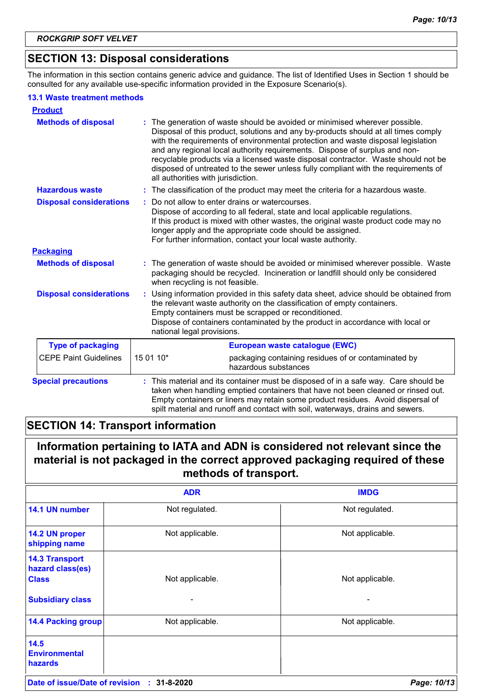# **SECTION 13: Disposal considerations**

The information in this section contains generic advice and guidance. The list of Identified Uses in Section 1 should be consulted for any available use-specific information provided in the Exposure Scenario(s).

#### **13.1 Waste treatment methods**

| <b>Product</b>                 |                                    |                                                                                                                                                                                                                                                                                                                                                                                                                                                                                                                |
|--------------------------------|------------------------------------|----------------------------------------------------------------------------------------------------------------------------------------------------------------------------------------------------------------------------------------------------------------------------------------------------------------------------------------------------------------------------------------------------------------------------------------------------------------------------------------------------------------|
| <b>Methods of disposal</b>     | all authorities with jurisdiction. | : The generation of waste should be avoided or minimised wherever possible.<br>Disposal of this product, solutions and any by-products should at all times comply<br>with the requirements of environmental protection and waste disposal legislation<br>and any regional local authority requirements. Dispose of surplus and non-<br>recyclable products via a licensed waste disposal contractor. Waste should not be<br>disposed of untreated to the sewer unless fully compliant with the requirements of |
| <b>Hazardous waste</b>         |                                    | : The classification of the product may meet the criteria for a hazardous waste.                                                                                                                                                                                                                                                                                                                                                                                                                               |
| <b>Disposal considerations</b> |                                    | Do not allow to enter drains or watercourses.<br>Dispose of according to all federal, state and local applicable regulations.<br>If this product is mixed with other wastes, the original waste product code may no<br>longer apply and the appropriate code should be assigned.<br>For further information, contact your local waste authority.                                                                                                                                                               |
| <b>Packaging</b>               |                                    |                                                                                                                                                                                                                                                                                                                                                                                                                                                                                                                |
| <b>Methods of disposal</b>     | when recycling is not feasible.    | The generation of waste should be avoided or minimised wherever possible. Waste<br>packaging should be recycled. Incineration or landfill should only be considered                                                                                                                                                                                                                                                                                                                                            |
| <b>Disposal considerations</b> | national legal provisions.         | Using information provided in this safety data sheet, advice should be obtained from<br>the relevant waste authority on the classification of empty containers.<br>Empty containers must be scrapped or reconditioned.<br>Dispose of containers contaminated by the product in accordance with local or                                                                                                                                                                                                        |
| <b>Type of packaging</b>       |                                    | European waste catalogue (EWC)                                                                                                                                                                                                                                                                                                                                                                                                                                                                                 |
| <b>CEPE Paint Guidelines</b>   | 15 01 10*                          | packaging containing residues of or contaminated by<br>hazardous substances                                                                                                                                                                                                                                                                                                                                                                                                                                    |
| <b>Special precautions</b>     |                                    | This material and its container must be disposed of in a safe way. Care should be<br>taken when handling emptied containers that have not been cleaned or rinsed out.<br>Empty containers or liners may retain some product residues. Avoid dispersal of<br>spilt material and runoff and contact with soil, waterways, drains and sewers.                                                                                                                                                                     |

# **SECTION 14: Transport information**

**Information pertaining to IATA and ADN is considered not relevant since the material is not packaged in the correct approved packaging required of these methods of transport.**

|                                                           | <b>ADR</b>      | <b>IMDG</b>              |
|-----------------------------------------------------------|-----------------|--------------------------|
| 14.1 UN number                                            | Not regulated.  | Not regulated.           |
| 14.2 UN proper<br>shipping name                           | Not applicable. | Not applicable.          |
| <b>14.3 Transport</b><br>hazard class(es)<br><b>Class</b> | Not applicable. | Not applicable.          |
| <b>Subsidiary class</b>                                   | -               | $\overline{\phantom{0}}$ |
| <b>14.4 Packing group</b>                                 | Not applicable. | Not applicable.          |
| 14.5<br><b>Environmental</b><br><b>hazards</b>            |                 |                          |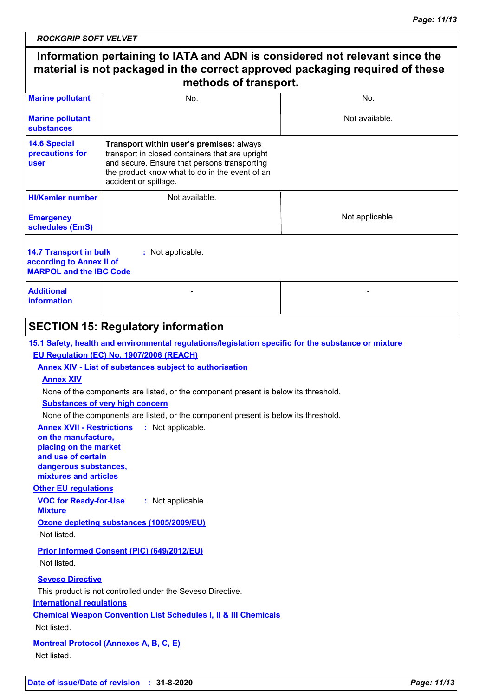# **Information pertaining to IATA and ADN is considered not relevant since the material is not packaged in the correct approved packaging required of these methods of transport.**

| <b>Marine pollutant</b>                                                              | No.                                                                                                                                                                                                                    | No.             |
|--------------------------------------------------------------------------------------|------------------------------------------------------------------------------------------------------------------------------------------------------------------------------------------------------------------------|-----------------|
| <b>Marine pollutant</b><br>substances                                                |                                                                                                                                                                                                                        | Not available.  |
| 14.6 Special<br>precautions for<br><b>user</b>                                       | Transport within user's premises: always<br>transport in closed containers that are upright<br>and secure. Ensure that persons transporting<br>the product know what to do in the event of an<br>accident or spillage. |                 |
| <b>HI/Kemler number</b>                                                              | Not available.                                                                                                                                                                                                         |                 |
| <b>Emergency</b><br>schedules (EmS)                                                  |                                                                                                                                                                                                                        | Not applicable. |
| 14.7 Transport in bulk<br>according to Annex II of<br><b>MARPOL and the IBC Code</b> | : Not applicable.                                                                                                                                                                                                      |                 |
| <b>Additional</b><br>information                                                     |                                                                                                                                                                                                                        |                 |
|                                                                                      |                                                                                                                                                                                                                        |                 |

# **SECTION 15: Regulatory information**

# **15.1 Safety, health and environmental regulations/legislation specific for the substance or mixture**

#### **EU Regulation (EC) No. 1907/2006 (REACH)**

#### **Annex XIV - List of substances subject to authorisation**

#### **Annex XIV**

None of the components are listed, or the component present is below its threshold.

#### **Substances of very high concern**

None of the components are listed, or the component present is below its threshold.

#### **Annex XVII - Restrictions : Not applicable.**

**on the manufacture, placing on the market and use of certain dangerous substances, mixtures and articles**

#### **Other EU regulations**

**VOC for Ready-for-Use Mixture :** Not applicable.

**Ozone depleting substances (1005/2009/EU)**

Not listed.

# **Prior Informed Consent (PIC) (649/2012/EU)**

Not listed.

#### **Seveso Directive**

This product is not controlled under the Seveso Directive.

#### **International regulations**

**Chemical Weapon Convention List Schedules I, II & III Chemicals**

#### Not listed.

**Montreal Protocol (Annexes A, B, C, E)**

Not listed.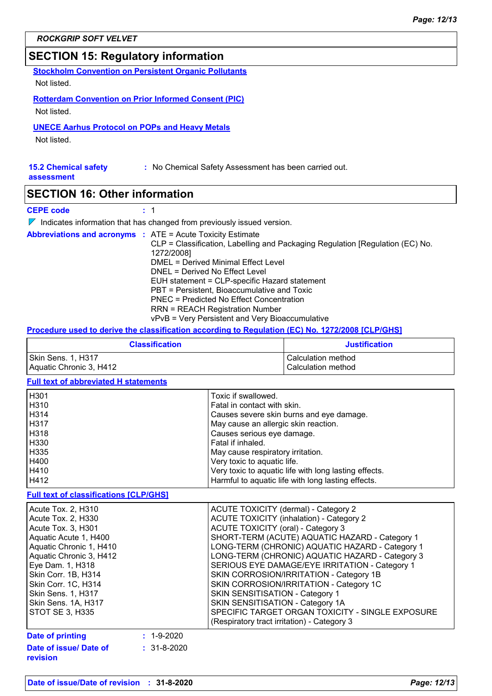## **SECTION 15: Regulatory information**

**Stockholm Convention on Persistent Organic Pollutants**

Not listed.

#### **Rotterdam Convention on Prior Informed Consent (PIC)** Not listed.

#### **UNECE Aarhus Protocol on POPs and Heavy Metals**

Not listed.

# **15.2 Chemical safety** : No Chemical Safety Assessment has been carried out.

**assessment**

### **SECTION 16: Other information**

#### **CEPE code :** 1

#### $\nabla$  Indicates information that has changed from previously issued version.

|  | <b>Abbreviations and acronyms : ATE = Acute Toxicity Estimate</b><br>CLP = Classification, Labelling and Packaging Regulation [Regulation (EC) No.<br>1272/2008] |
|--|------------------------------------------------------------------------------------------------------------------------------------------------------------------|
|  | DMEL = Derived Minimal Effect Level                                                                                                                              |
|  | DNEL = Derived No Effect Level                                                                                                                                   |
|  | EUH statement = CLP-specific Hazard statement                                                                                                                    |
|  | PBT = Persistent, Bioaccumulative and Toxic                                                                                                                      |
|  | <b>PNEC = Predicted No Effect Concentration</b>                                                                                                                  |
|  | <b>RRN = REACH Registration Number</b>                                                                                                                           |
|  | vPvB = Very Persistent and Very Bioaccumulative                                                                                                                  |

#### **Procedure used to derive the classification according to Regulation (EC) No. 1272/2008 [CLP/GHS]**

| <b>Classification</b>   | <b>Justification</b> |
|-------------------------|----------------------|
| Skin Sens. 1, H317      | Calculation method   |
| Aquatic Chronic 3, H412 | Calculation method   |

#### **Full text of abbreviated H statements**

| H <sub>301</sub> | Toxic if swallowed.                                   |
|------------------|-------------------------------------------------------|
| H310             | Fatal in contact with skin.                           |
| H314             | Causes severe skin burns and eye damage.              |
| H317             | May cause an allergic skin reaction.                  |
| H318             | Causes serious eye damage.                            |
| H330             | Fatal if inhaled.                                     |
| H335             | May cause respiratory irritation.                     |
| H400             | Very toxic to aquatic life.                           |
| H410             | Very toxic to aquatic life with long lasting effects. |
| H412             | Harmful to aquatic life with long lasting effects.    |

#### **Full text of classifications [CLP/GHS]**

| Date of issue/ Date of    | $: 31 - 8 - 2020$ |                                                  |
|---------------------------|-------------------|--------------------------------------------------|
| Date of printing          | $: 1 - 9 - 2020$  |                                                  |
|                           |                   | (Respiratory tract irritation) - Category 3      |
| <b>STOT SE 3, H335</b>    |                   | SPECIFIC TARGET ORGAN TOXICITY - SINGLE EXPOSURE |
| Skin Sens. 1A, H317       |                   | SKIN SENSITISATION - Category 1A                 |
| <b>Skin Sens. 1, H317</b> |                   | SKIN SENSITISATION - Category 1                  |
| Skin Corr. 1C, H314       |                   | SKIN CORROSION/IRRITATION - Category 1C          |
| Skin Corr. 1B, H314       |                   | SKIN CORROSION/IRRITATION - Category 1B          |
| Eye Dam. 1, H318          |                   | SERIOUS EYE DAMAGE/EYE IRRITATION - Category 1   |
| Aquatic Chronic 3, H412   |                   | LONG-TERM (CHRONIC) AQUATIC HAZARD - Category 3  |
| Aquatic Chronic 1, H410   |                   | LONG-TERM (CHRONIC) AQUATIC HAZARD - Category 1  |
| Aquatic Acute 1, H400     |                   | SHORT-TERM (ACUTE) AQUATIC HAZARD - Category 1   |
| Acute Tox. 3, H301        |                   | <b>ACUTE TOXICITY (oral) - Category 3</b>        |
| Acute Tox. 2, H330        |                   | <b>ACUTE TOXICITY (inhalation) - Category 2</b>  |
| Acute Tox. 2, H310        |                   | ACUTE TOXICITY (dermal) - Category 2             |

#### **Date of issue/Date of revision : 31-8-2020** *Page: 12/13*

**revision**